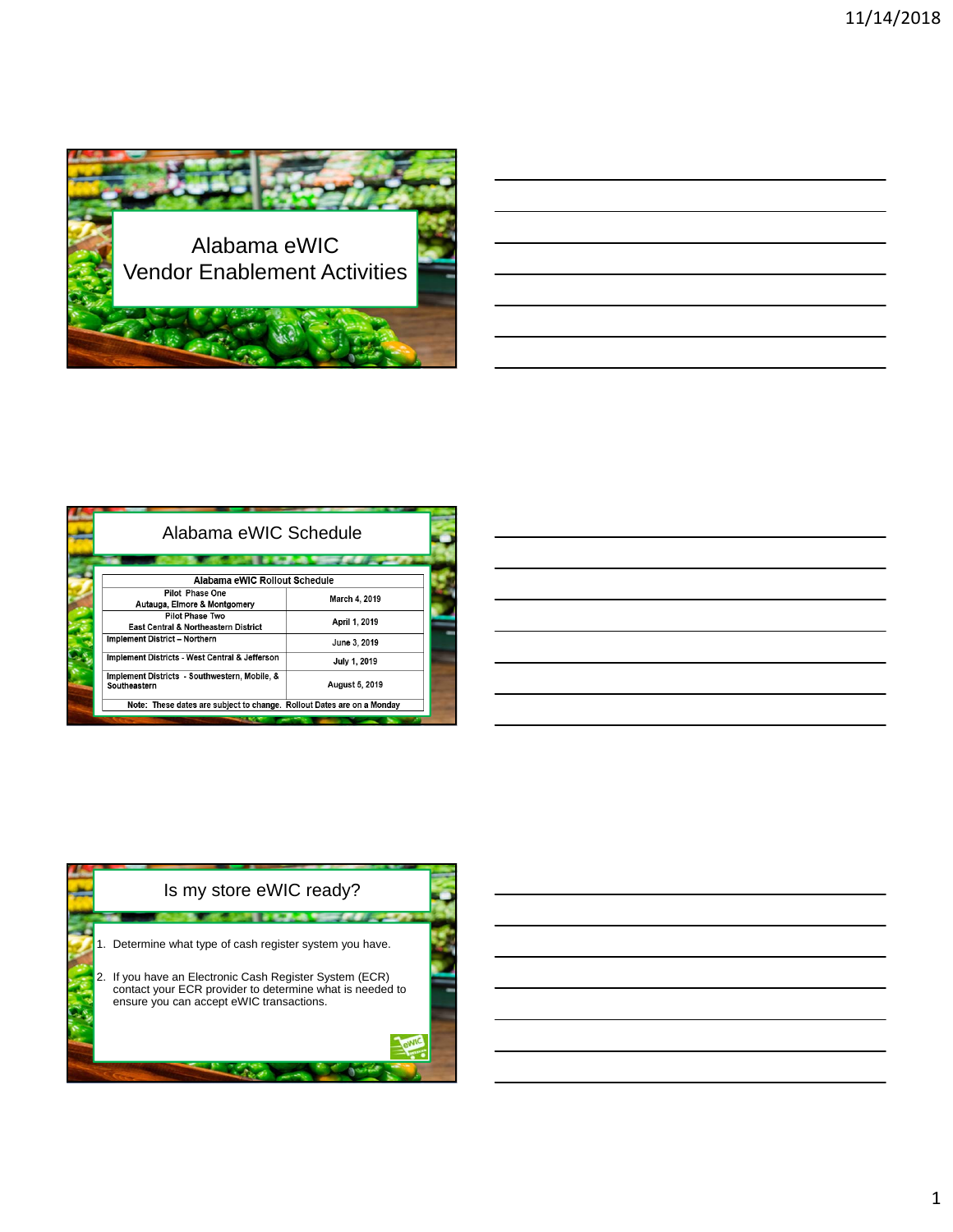

| <u> 1989 - Johann Stoff, amerikansk politiker (d. 1989)</u>                                                           |  |  |
|-----------------------------------------------------------------------------------------------------------------------|--|--|
| <u> 1989 - Andrea Andrew Maria (h. 1989).</u>                                                                         |  |  |
| <u> 1989 - Johann Stoff, amerikansk politiker (d. 1989)</u>                                                           |  |  |
| <u> 1989 - Johann Stoff, deutscher Stoffen und der Stoffen und der Stoffen und der Stoffen und der Stoffen und de</u> |  |  |
| <u> 1989 - Andrea Santa Andrea Andrea Andrea Andrea Andrea Andrea Andrea Andrea Andrea Andrea Andrea Andrea Andr</u>  |  |  |
|                                                                                                                       |  |  |

| Alabama eWIC Schedule                                                  |                |  |  |
|------------------------------------------------------------------------|----------------|--|--|
|                                                                        |                |  |  |
| Alabama eWIC Rollout Schedule                                          |                |  |  |
| Pilot Phase One<br>Autauga, Elmore & Montgomery                        | March 4, 2019  |  |  |
| Pilot Phase Two<br>East Central & Northeastern District                | April 1, 2019  |  |  |
| Implement District - Northern                                          | June 3, 2019   |  |  |
| Implement Districts - West Central & Jefferson                         | July 1, 2019   |  |  |
| Implement Districts - Southwestern, Mobile, &<br>Southeastern          | August 5, 2019 |  |  |
| Note: These dates are subject to change. Rollout Dates are on a Monday |                |  |  |

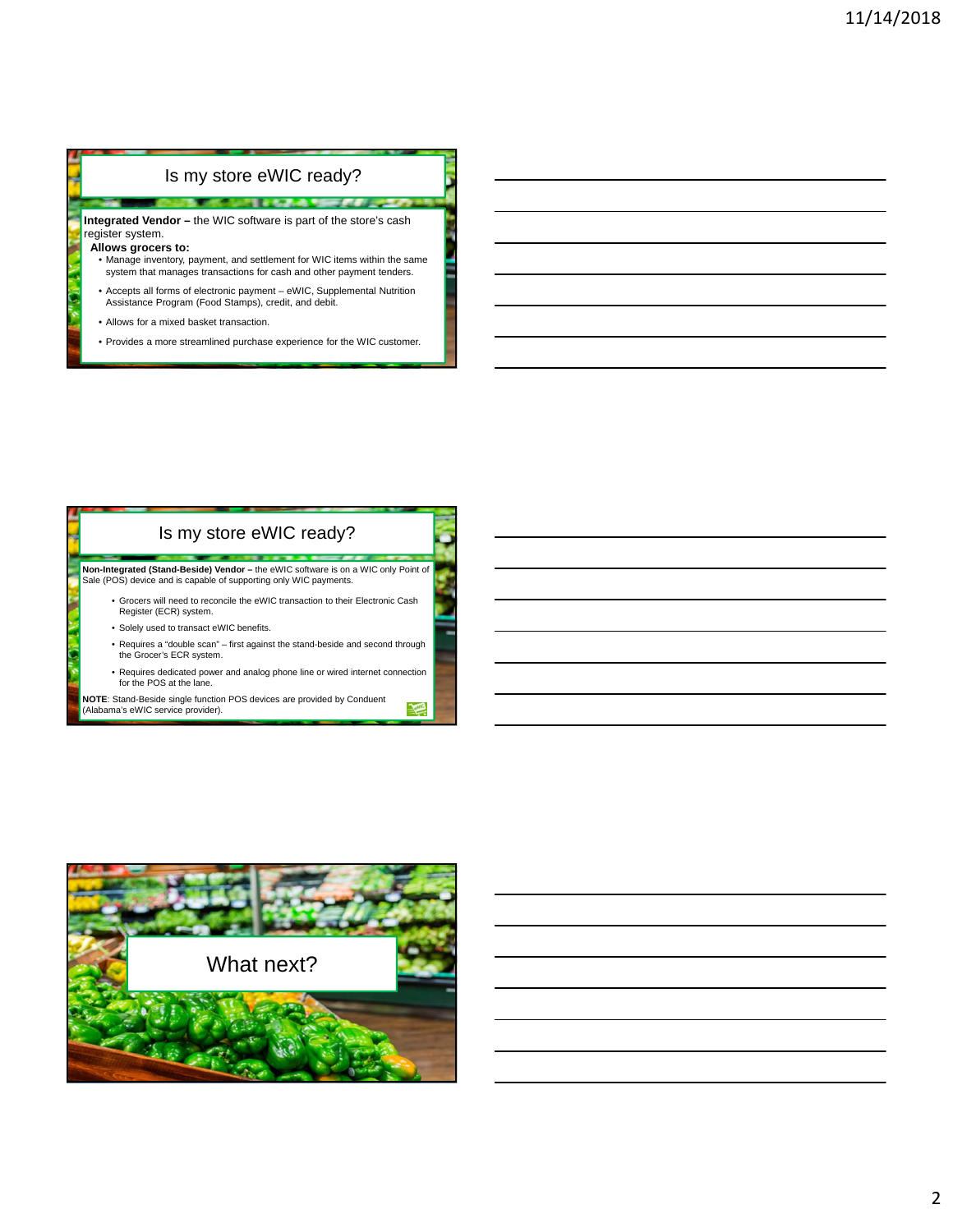## Is my store eWIC ready?

**NE DESCRIPTION OF A REPORT OF A STATE OF A REPORT OF A STATE OF A REPORT OF A REPORT OF A REPORT OF A REPORT OF** 

**Integrated Vendor –** the WIC software is part of the store's cash register system.

## **Allows grocers to:**

- Manage inventory, payment, and settlement for WIC items within the same system that manages transactions for cash and other payment tenders.
- Accepts all forms of electronic payment eWIC, Supplemental Nutrition Assistance Program (Food Stamps), credit, and debit.
- Allows for a mixed basket transaction.
- Provides a more streamlined purchase experience for the WIC customer.

## Is my store eWIC ready?

**Non-Integrated (Stand-Beside) Vendor –** the eWIC software is on a WIC only Point of Sale (POS) device and is capable of supporting only WIC payments.

- Grocers will need to reconcile the eWIC transaction to their Electronic Cash Register (ECR) system.
	- Solely used to transact eWIC benefits.
	- Requires a "double scan" first against the stand-beside and second through the Grocer's ECR system.
	- Requires dedicated power and analog phone line or wired internet connection for the POS at the lane.

欗

**NOTE**: Stand-Beside single function POS devices are provided by Conduent (Alabama's eWIC service provider).

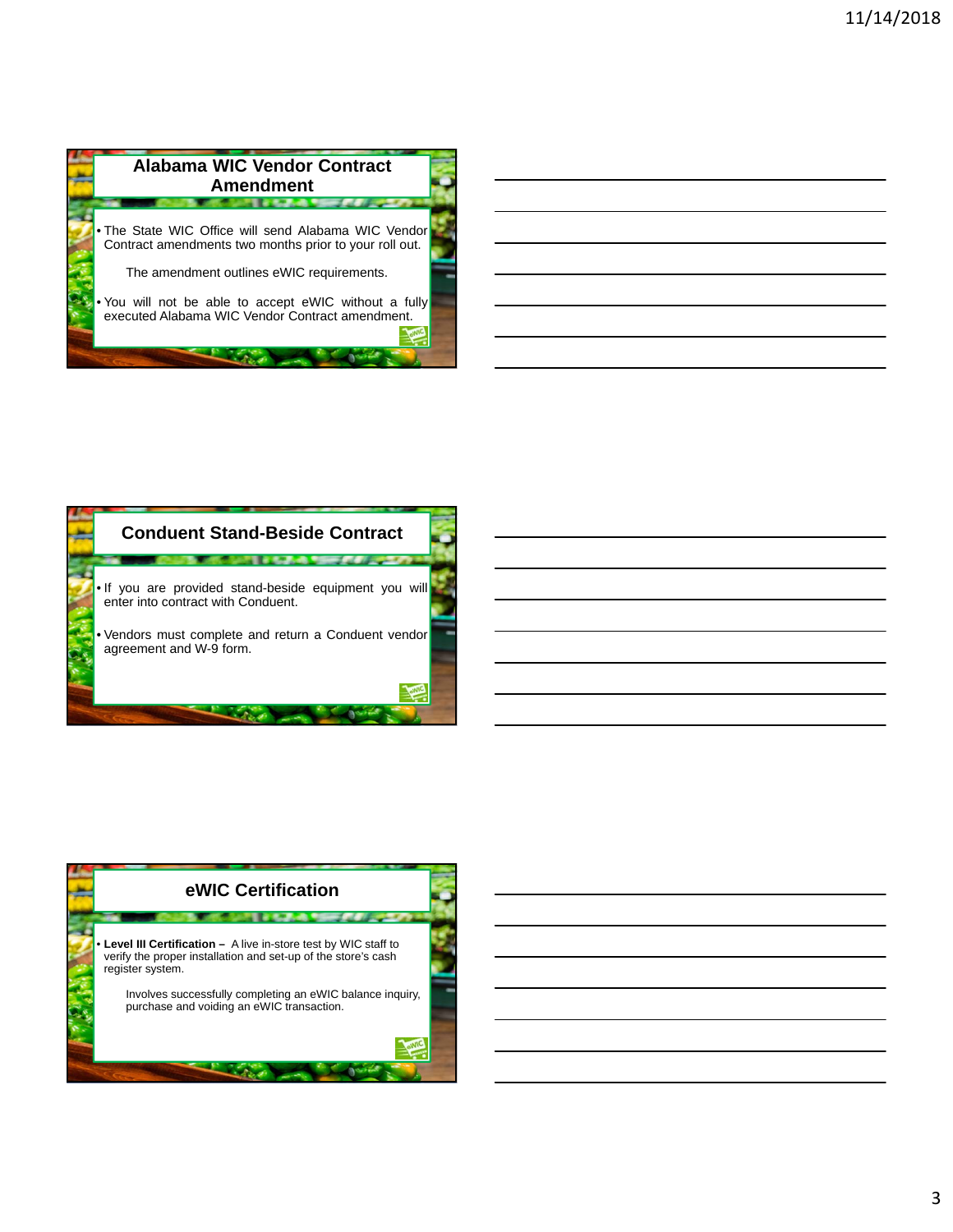

| <b>Conduent Stand-Beside Contract</b>                                                                                                                                          |
|--------------------------------------------------------------------------------------------------------------------------------------------------------------------------------|
| . If you are provided stand-beside equipment you will<br>enter into contract with Conduent.<br>• Vendors must complete and return a Conduent vendor<br>agreement and W-9 form. |
|                                                                                                                                                                                |

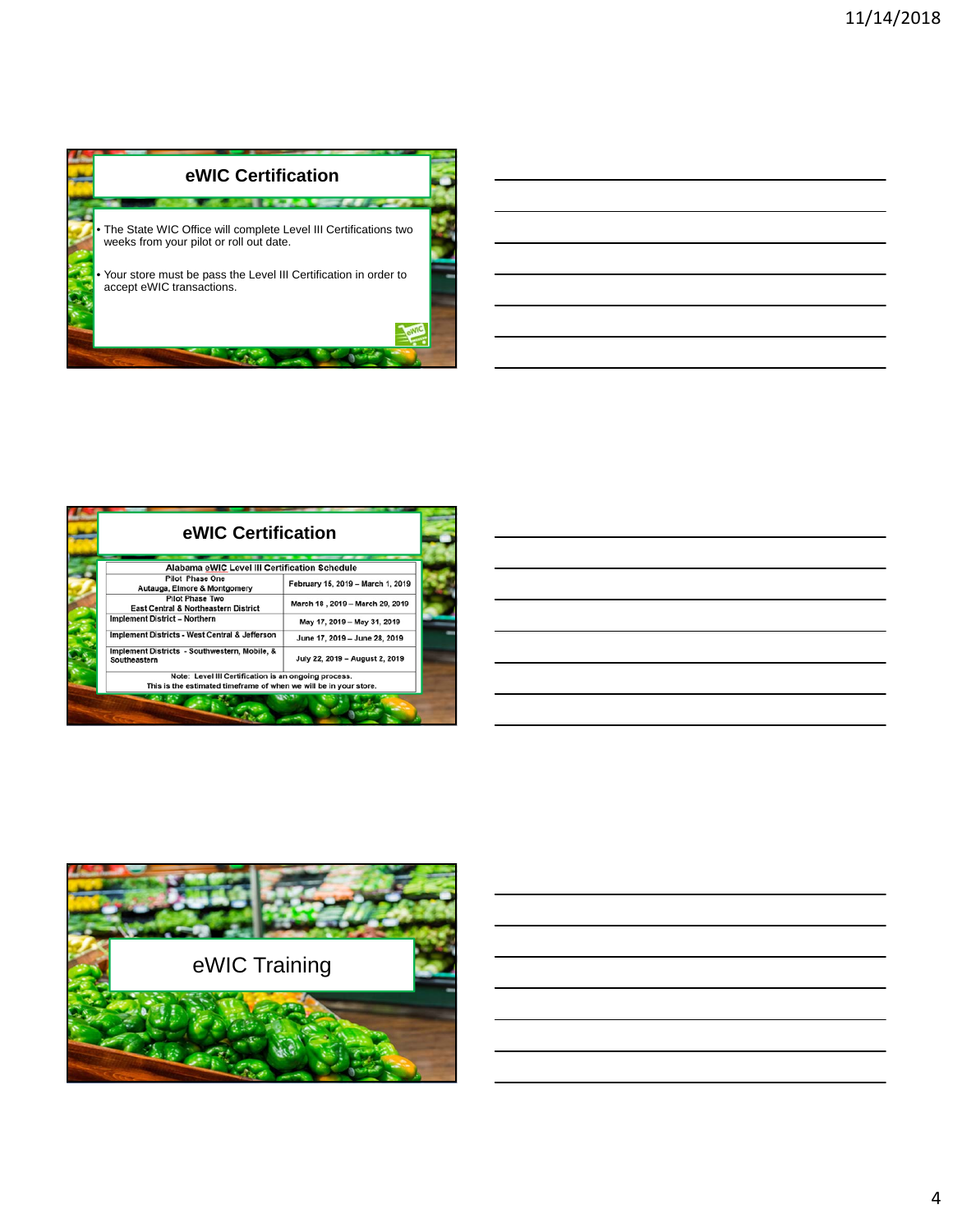

| eWIC Certification                                                                                                        |                                   |  |  |  |
|---------------------------------------------------------------------------------------------------------------------------|-----------------------------------|--|--|--|
| Alabama eWIC Level III Certification Schedule                                                                             |                                   |  |  |  |
| <b>Pilot Phase One</b><br>Autauga, Elmore & Montgomery                                                                    | February 15, 2019 - March 1, 2019 |  |  |  |
| <b>Pilot Phase Two</b><br><b>East Central &amp; Northeastern District</b>                                                 | March 18, 2019 - March 29, 2019   |  |  |  |
| <b>Implement District - Northern</b>                                                                                      | May 17, 2019 - May 31, 2019       |  |  |  |
| Implement Districts - West Central & Jefferson                                                                            | June 17, 2019 - June 28, 2019     |  |  |  |
| Implement Districts - Southwestern, Mobile, &<br>Southeastern                                                             | July 22, 2019 - August 2, 2019    |  |  |  |
| Note: Level III Certification is an ongoing process.<br>This is the estimated timeframe of when we will be in your store. |                                   |  |  |  |

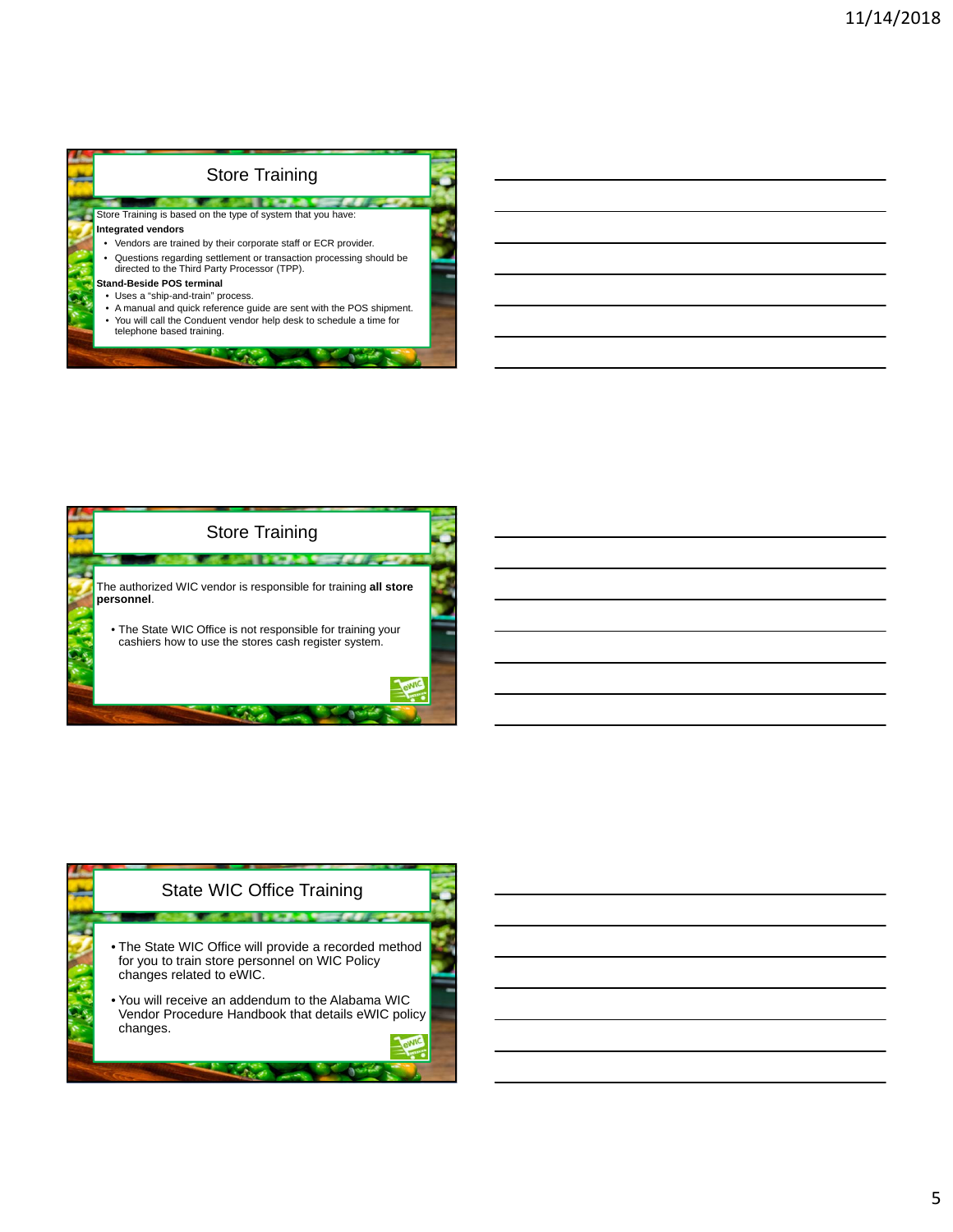